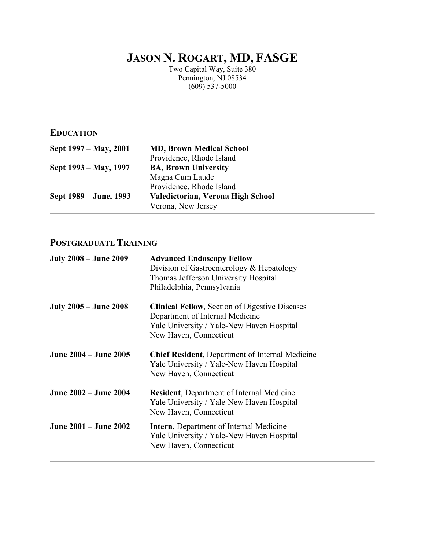# **JASON N. ROGART, MD, FASGE**

Two Capital Way, Suite 380 Pennington, NJ 08534  $(609)$  537-5000

**EDUCATION**

| <b>MD, Brown Medical School</b>   |
|-----------------------------------|
| Providence, Rhode Island          |
| <b>BA, Brown University</b>       |
| Magna Cum Laude                   |
| Providence, Rhode Island          |
| Valedictorian, Verona High School |
| Verona, New Jersey                |
|                                   |

# **POSTGRADUATE TRAINING**

| <b>July 2008 – June 2009</b> | <b>Advanced Endoscopy Fellow</b><br>Division of Gastroenterology & Hepatology<br>Thomas Jefferson University Hospital<br>Philadelphia, Pennsylvania             |
|------------------------------|-----------------------------------------------------------------------------------------------------------------------------------------------------------------|
| <b>July 2005 – June 2008</b> | <b>Clinical Fellow, Section of Digestive Diseases</b><br>Department of Internal Medicine<br>Yale University / Yale-New Haven Hospital<br>New Haven, Connecticut |
| June 2004 – June 2005        | <b>Chief Resident, Department of Internal Medicine</b><br>Yale University / Yale-New Haven Hospital<br>New Haven, Connecticut                                   |
| June 2002 – June 2004        | <b>Resident, Department of Internal Medicine</b><br>Yale University / Yale-New Haven Hospital<br>New Haven, Connecticut                                         |
| June 2001 – June 2002        | <b>Intern, Department of Internal Medicine</b><br>Yale University / Yale-New Haven Hospital<br>New Haven, Connecticut                                           |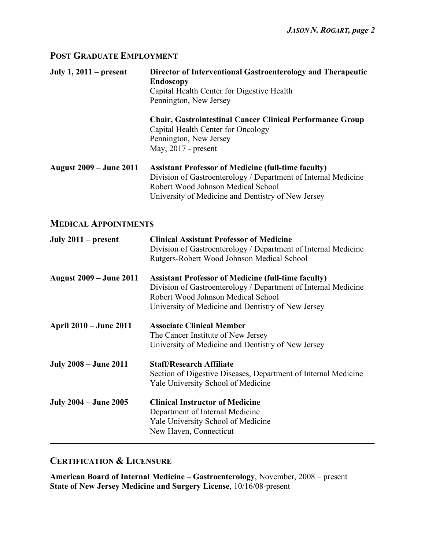#### **POST GRADUATE EMPLOYMENT**

**July 1, 2011 – present Director of Interventional Gastroenterology and Therapeutic Endoscopy** Capital Health Center for Digestive Health Pennington, New Jersey **Chair, Gastrointestinal Cancer Clinical Performance Group** Capital Health Center for Oncology Pennington, New Jersey May, 2017 - present **August 2009 – June 2011 Assistant Professor of Medicine (full-time faculty)** Division of Gastroenterology / Department of Internal Medicine Robert Wood Johnson Medical School University of Medicine and Dentistry of New Jersey

#### **MEDICAL APPOINTMENTS**

| July $2011$ – present          | <b>Clinical Assistant Professor of Medicine</b><br>Division of Gastroenterology / Department of Internal Medicine<br>Rutgers-Robert Wood Johnson Medical School                                                          |
|--------------------------------|--------------------------------------------------------------------------------------------------------------------------------------------------------------------------------------------------------------------------|
| <b>August 2009 – June 2011</b> | <b>Assistant Professor of Medicine (full-time faculty)</b><br>Division of Gastroenterology / Department of Internal Medicine<br>Robert Wood Johnson Medical School<br>University of Medicine and Dentistry of New Jersey |
| <b>April 2010 – June 2011</b>  | <b>Associate Clinical Member</b><br>The Cancer Institute of New Jersey<br>University of Medicine and Dentistry of New Jersey                                                                                             |
| <b>July 2008 – June 2011</b>   | <b>Staff/Research Affiliate</b><br>Section of Digestive Diseases, Department of Internal Medicine<br><b>Yale University School of Medicine</b>                                                                           |
| <b>July 2004 – June 2005</b>   | <b>Clinical Instructor of Medicine</b><br>Department of Internal Medicine<br>Yale University School of Medicine<br>New Haven, Connecticut                                                                                |

#### **CERTIFICATION & LICENSURE**

**American Board of Internal Medicine – Gastroenterology**, November, 2008 – present **State of New Jersey Medicine and Surgery License**, 10/16/08-present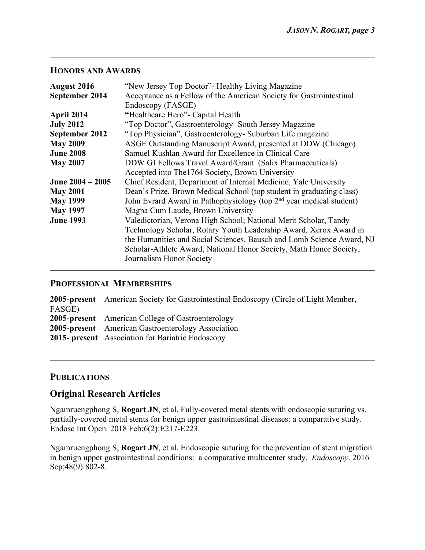#### **HONORS AND AWARDS**

| "New Jersey Top Doctor" - Healthy Living Magazine                               |
|---------------------------------------------------------------------------------|
| Acceptance as a Fellow of the American Society for Gastrointestinal             |
| Endoscopy (FASGE)                                                               |
| "Healthcare Hero" - Capital Health                                              |
| "Top Doctor", Gastroenterology- South Jersey Magazine                           |
| "Top Physician", Gastroenterology- Suburban Life magazine                       |
| ASGE Outstanding Manuscript Award, presented at DDW (Chicago)                   |
| Samuel Kushlan Award for Excellence in Clinical Care                            |
| DDW GI Fellows Travel Award/Grant (Salix Pharmaceuticals)                       |
| Accepted into The 1764 Society, Brown University                                |
| Chief Resident, Department of Internal Medicine, Yale University                |
| Dean's Prize, Brown Medical School (top student in graduating class)            |
| John Evrard Award in Pathophysiology (top 2 <sup>nd</sup> year medical student) |
| Magna Cum Laude, Brown University                                               |
| Valedictorian, Verona High School; National Merit Scholar, Tandy                |
| Technology Scholar, Rotary Youth Leadership Award, Xerox Award in               |
| the Humanities and Social Sciences, Bausch and Lomb Science Award, NJ           |
| Scholar-Athlete Award, National Honor Society, Math Honor Society,              |
| Journalism Honor Society                                                        |
|                                                                                 |

### **PROFESSIONAL MEMBERSHIPS**

|        | <b>2005-present</b> American Society for Gastrointestinal Endoscopy (Circle of Light Member, |
|--------|----------------------------------------------------------------------------------------------|
| FASGE) |                                                                                              |
|        | <b>2005-present</b> American College of Gastroenterology                                     |
|        | <b>2005-present</b> American Gastroenterology Association                                    |
|        | <b>2015-</b> present Association for Bariatric Endoscopy                                     |

#### **PUBLICATIONS**

## **Original Research Articles**

Ngamruengphong S, **Rogart JN**, et al. Fully-covered metal stents with endoscopic suturing vs. partially-covered metal stents for benign upper gastrointestinal diseases: a comparative study. Endosc Int Open. 2018 Feb;6(2):E217-E223.

Ngamruengphong S, **Rogart JN**, et al. Endoscopic suturing for the prevention of stent migration in benign upper gastrointestinal conditions: a comparative multicenter study. *Endoscopy*. 2016 Sep;48(9):802-8.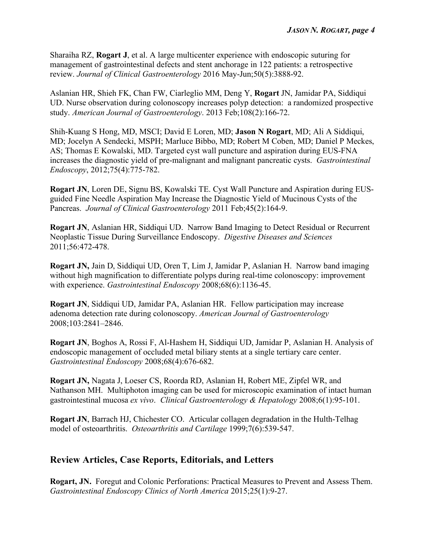Sharaiha RZ, **Rogart J**, et al. A large multicenter experience with endoscopic suturing for management of gastrointestinal defects and stent anchorage in 122 patients: a retrospective review. *Journal of Clinical Gastroenterology* 2016 May-Jun;50(5):3888-92.

Aslanian HR, Shieh FK, Chan FW, Ciarleglio MM, Deng Y, **Rogart** JN, Jamidar PA, Siddiqui UD. Nurse observation during colonoscopy increases polyp detection: a randomized prospective study. *American Journal of Gastroenterology*. 2013 Feb;108(2):166-72.

Shih-Kuang S Hong, MD, MSCI; David E Loren, MD; **Jason N Rogart**, MD; Ali A Siddiqui, MD; Jocelyn A Sendecki, MSPH; Marluce Bibbo, MD; Robert M Coben, MD; Daniel P Meckes, AS; Thomas E Kowalski, MD. Targeted cyst wall puncture and aspiration during EUS-FNA increases the diagnostic yield of pre-malignant and malignant pancreatic cysts. *Gastrointestinal Endoscopy*, 2012;75(4):775-782.

**Rogart JN**, Loren DE, Signu BS, Kowalski TE. Cyst Wall Puncture and Aspiration during EUSguided Fine Needle Aspiration May Increase the Diagnostic Yield of Mucinous Cysts of the Pancreas. *Journal of Clinical Gastroenterology* 2011 Feb;45(2):164-9.

**Rogart JN**, Aslanian HR, Siddiqui UD. Narrow Band Imaging to Detect Residual or Recurrent Neoplastic Tissue During Surveillance Endoscopy. *Digestive Diseases and Sciences* 2011;56:472-478.

**Rogart JN,** Jain D, Siddiqui UD, Oren T, Lim J, Jamidar P, Aslanian H. Narrow band imaging without high magnification to differentiate polyps during real-time colonoscopy: improvement with experience. *Gastrointestinal Endoscopy* 2008;68(6):1136-45.

**Rogart JN**, Siddiqui UD, Jamidar PA, Aslanian HR. Fellow participation may increase adenoma detection rate during colonoscopy. *American Journal of Gastroenterology* 2008;103:2841–2846.

**Rogart JN**, Boghos A, Rossi F, Al-Hashem H, Siddiqui UD, Jamidar P, Aslanian H. Analysis of endoscopic management of occluded metal biliary stents at a single tertiary care center. *Gastrointestinal Endoscopy* 2008;68(4):676-682.

**Rogart JN,** Nagata J, Loeser CS, Roorda RD, Aslanian H, Robert ME, Zipfel WR, and Nathanson MH. Multiphoton imaging can be used for microscopic examination of intact human gastrointestinal mucosa *ex vivo*. *Clinical Gastroenterology & Hepatology* 2008;6(1):95-101.

**Rogart JN**, Barrach HJ, Chichester CO. Articular collagen degradation in the Hulth-Telhag model of osteoarthritis. *Osteoarthritis and Cartilage* 1999;7(6):539-547.

## **Review Articles, Case Reports, Editorials, and Letters**

**Rogart, JN.** Foregut and Colonic Perforations: Practical Measures to Prevent and Assess Them. *Gastrointestinal Endoscopy Clinics of North America* 2015;25(1):9-27.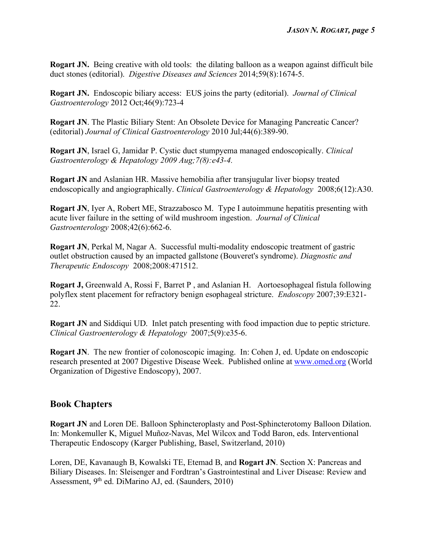**Rogart JN.** Being creative with old tools: the dilating balloon as a weapon against difficult bile duct stones (editorial). *Digestive Diseases and Sciences* 2014;59(8):1674-5.

**Rogart JN.** Endoscopic biliary access: EUS joins the party (editorial). *Journal of Clinical Gastroenterology* 2012 Oct;46(9):723-4

**Rogart JN**. The Plastic Biliary Stent: An Obsolete Device for Managing Pancreatic Cancer? (editorial) *Journal of Clinical Gastroenterology* 2010 Jul;44(6):389-90.

**Rogart JN**, Israel G, Jamidar P. Cystic duct stumpyema managed endoscopically. *Clinical Gastroenterology & Hepatology 2009 Aug;7(8):e43-4.*

**Rogart JN** and Aslanian HR. Massive hemobilia after transjugular liver biopsy treated endoscopically and angiographically. *Clinical Gastroenterology & Hepatology* 2008;6(12):A30.

**Rogart JN**, Iyer A, Robert ME, Strazzabosco M. Type I autoimmune hepatitis presenting with acute liver failure in the setting of wild mushroom ingestion. *Journal of Clinical Gastroenterology* 2008;42(6):662-6.

**Rogart JN**, Perkal M, Nagar A. Successful multi-modality endoscopic treatment of gastric outlet obstruction caused by an impacted gallstone (Bouveret's syndrome). *Diagnostic and Therapeutic Endoscopy* 2008;2008:471512.

**Rogart J,** Greenwald A, Rossi F, Barret P , and Aslanian H. Aortoesophageal fistula following polyflex stent placement for refractory benign esophageal stricture. *Endoscopy* 2007;39:E321- 22.

**Rogart JN** and Siddiqui UD. Inlet patch presenting with food impaction due to peptic stricture. *Clinical Gastroenterology & Hepatology* 2007;5(9):e35-6.

**Rogart JN**. The new frontier of colonoscopic imaging. In: Cohen J, ed. Update on endoscopic research presented at 2007 Digestive Disease Week. Published online at www.omed.org (World Organization of Digestive Endoscopy), 2007.

## **Book Chapters**

**Rogart JN** and Loren DE. Balloon Sphincteroplasty and Post-Sphincterotomy Balloon Dilation. In: Monkemuller K, Miguel Muñoz-Navas, Mel Wilcox and Todd Baron, eds. Interventional Therapeutic Endoscopy (Karger Publishing, Basel, Switzerland, 2010)

Loren, DE, Kavanaugh B, Kowalski TE, Etemad B, and **Rogart JN**. Section X: Pancreas and Biliary Diseases. In: Sleisenger and Fordtran's Gastrointestinal and Liver Disease: Review and Assessment, 9th ed. DiMarino AJ, ed. (Saunders, 2010)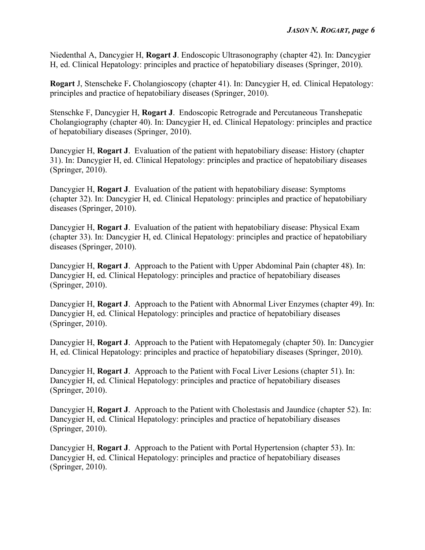Niedenthal A, Dancygier H, **Rogart J**. Endoscopic Ultrasonography (chapter 42). In: Dancygier H, ed. Clinical Hepatology: principles and practice of hepatobiliary diseases (Springer, 2010).

**Rogart** J, Stenscheke F**.** Cholangioscopy (chapter 41). In: Dancygier H, ed. Clinical Hepatology: principles and practice of hepatobiliary diseases (Springer, 2010).

Stenschke F, Dancygier H, **Rogart J**. Endoscopic Retrograde and Percutaneous Transhepatic Cholangiography (chapter 40). In: Dancygier H, ed. Clinical Hepatology: principles and practice of hepatobiliary diseases (Springer, 2010).

Dancygier H, **Rogart J**. Evaluation of the patient with hepatobiliary disease: History (chapter 31). In: Dancygier H, ed. Clinical Hepatology: principles and practice of hepatobiliary diseases (Springer, 2010).

Dancygier H, **Rogart J**. Evaluation of the patient with hepatobiliary disease: Symptoms (chapter 32). In: Dancygier H, ed. Clinical Hepatology: principles and practice of hepatobiliary diseases (Springer, 2010).

Dancygier H, **Rogart J**. Evaluation of the patient with hepatobiliary disease: Physical Exam (chapter 33). In: Dancygier H, ed. Clinical Hepatology: principles and practice of hepatobiliary diseases (Springer, 2010).

Dancygier H, **Rogart J**. Approach to the Patient with Upper Abdominal Pain (chapter 48). In: Dancygier H, ed. Clinical Hepatology: principles and practice of hepatobiliary diseases (Springer, 2010).

Dancygier H, **Rogart J**. Approach to the Patient with Abnormal Liver Enzymes (chapter 49). In: Dancygier H, ed. Clinical Hepatology: principles and practice of hepatobiliary diseases (Springer, 2010).

Dancygier H, **Rogart J**. Approach to the Patient with Hepatomegaly (chapter 50). In: Dancygier H, ed. Clinical Hepatology: principles and practice of hepatobiliary diseases (Springer, 2010).

Dancygier H, **Rogart J**. Approach to the Patient with Focal Liver Lesions (chapter 51). In: Dancygier H, ed. Clinical Hepatology: principles and practice of hepatobiliary diseases (Springer, 2010).

Dancygier H, **Rogart J**. Approach to the Patient with Cholestasis and Jaundice (chapter 52). In: Dancygier H, ed. Clinical Hepatology: principles and practice of hepatobiliary diseases (Springer, 2010).

Dancygier H, **Rogart J**. Approach to the Patient with Portal Hypertension (chapter 53). In: Dancygier H, ed. Clinical Hepatology: principles and practice of hepatobiliary diseases (Springer, 2010).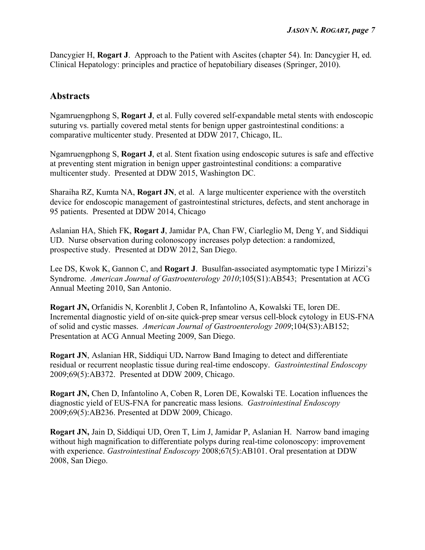Dancygier H, **Rogart J**. Approach to the Patient with Ascites (chapter 54). In: Dancygier H, ed. Clinical Hepatology: principles and practice of hepatobiliary diseases (Springer, 2010).

## **Abstracts**

Ngamruengphong S, **Rogart J**, et al. Fully covered self-expandable metal stents with endoscopic suturing vs. partially covered metal stents for benign upper gastrointestinal conditions: a comparative multicenter study. Presented at DDW 2017, Chicago, IL.

Ngamruengphong S, **Rogart J**, et al. Stent fixation using endoscopic sutures is safe and effective at preventing stent migration in benign upper gastrointestinal conditions: a comparative multicenter study. Presented at DDW 2015, Washington DC.

Sharaiha RZ, Kumta NA, **Rogart JN**, et al. A large multicenter experience with the overstitch device for endoscopic management of gastrointestinal strictures, defects, and stent anchorage in 95 patients. Presented at DDW 2014, Chicago

Aslanian HA, Shieh FK, **Rogart J**, Jamidar PA, Chan FW, Ciarleglio M, Deng Y, and Siddiqui UD. Nurse observation during colonoscopy increases polyp detection: a randomized, prospective study. Presented at DDW 2012, San Diego.

Lee DS, Kwok K, Gannon C, and **Rogart J**. Busulfan-associated asymptomatic type I Mirizzi's Syndrome. *American Journal of Gastroenterology 2010*;105(S1):AB543; Presentation at ACG Annual Meeting 2010, San Antonio.

**Rogart JN,** Orfanidis N, Korenblit J, Coben R, Infantolino A, Kowalski TE, loren DE. Incremental diagnostic yield of on-site quick-prep smear versus cell-block cytology in EUS-FNA of solid and cystic masses. *American Journal of Gastroenterology 2009*;104(S3):AB152; Presentation at ACG Annual Meeting 2009, San Diego.

**Rogart JN**, Aslanian HR, Siddiqui UD**.** Narrow Band Imaging to detect and differentiate residual or recurrent neoplastic tissue during real-time endoscopy. *Gastrointestinal Endoscopy* 2009;69(5):AB372. Presented at DDW 2009, Chicago.

**Rogart JN,** Chen D, Infantolino A, Coben R, Loren DE, Kowalski TE. Location influences the diagnostic yield of EUS-FNA for pancreatic mass lesions. *Gastrointestinal Endoscopy* 2009;69(5):AB236. Presented at DDW 2009, Chicago.

**Rogart JN,** Jain D, Siddiqui UD, Oren T, Lim J, Jamidar P, Aslanian H. Narrow band imaging without high magnification to differentiate polyps during real-time colonoscopy: improvement with experience. *Gastrointestinal Endoscopy* 2008;67(5):AB101. Oral presentation at DDW 2008, San Diego.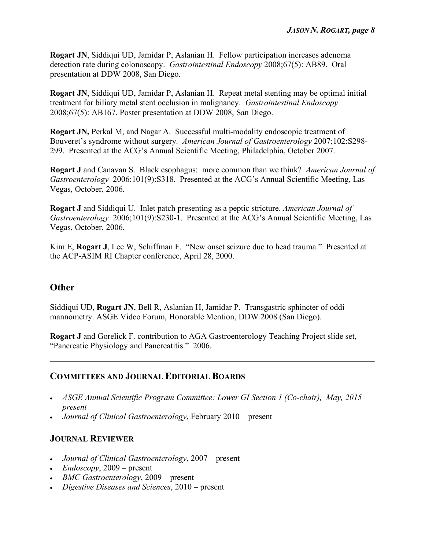**Rogart JN**, Siddiqui UD, Jamidar P, Aslanian H. Fellow participation increases adenoma detection rate during colonoscopy. *Gastrointestinal Endoscopy* 2008;67(5): AB89. Oral presentation at DDW 2008, San Diego.

**Rogart JN**, Siddiqui UD, Jamidar P, Aslanian H. Repeat metal stenting may be optimal initial treatment for biliary metal stent occlusion in malignancy. *Gastrointestinal Endoscopy* 2008;67(5): AB167. Poster presentation at DDW 2008, San Diego.

**Rogart JN,** Perkal M, and Nagar A. Successful multi-modality endoscopic treatment of Bouveret's syndrome without surgery. *American Journal of Gastroenterology* 2007;102:S298- 299. Presented at the ACG's Annual Scientific Meeting, Philadelphia, October 2007.

**Rogart J** and Canavan S. Black esophagus: more common than we think? *American Journal of Gastroenterology* 2006;101(9):S318. Presented at the ACG's Annual Scientific Meeting, Las Vegas, October, 2006.

**Rogart J** and Siddiqui U. Inlet patch presenting as a peptic stricture. *American Journal of Gastroenterology* 2006;101(9):S230-1. Presented at the ACG's Annual Scientific Meeting, Las Vegas, October, 2006.

Kim E, **Rogart J**, Lee W, Schiffman F. "New onset seizure due to head trauma." Presented at the ACP-ASIM RI Chapter conference, April 28, 2000.

## **Other**

Siddiqui UD, **Rogart JN**, Bell R, Aslanian H, Jamidar P. Transgastric sphincter of oddi mannometry. ASGE Video Forum, Honorable Mention, DDW 2008 (San Diego).

**Rogart J** and Gorelick F. contribution to AGA Gastroenterology Teaching Project slide set, "Pancreatic Physiology and Pancreatitis." 2006.

## **COMMITTEES AND JOURNAL EDITORIAL BOARDS**

- *ASGE Annual Scientific Program Committee: Lower GI Section 1 (Co-chair), May, 2015 present*
- *Journal of Clinical Gastroenterology*, February 2010 present

## **JOURNAL REVIEWER**

- *Journal of Clinical Gastroenterology*, 2007 present
- *Endoscopy*, 2009 present
- *BMC Gastroenterology*, 2009 present
- *Digestive Diseases and Sciences*, 2010 present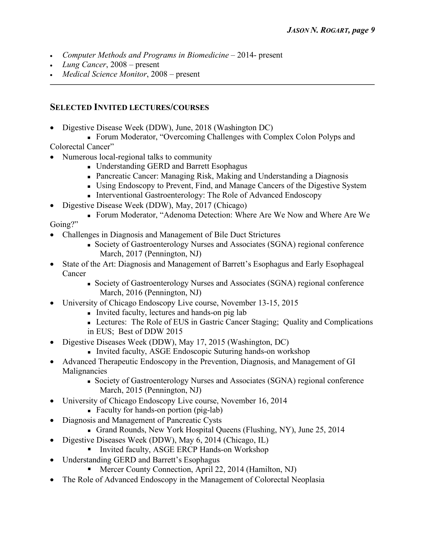- *Computer Methods and Programs in Biomedicine* 2014- present
- *Lung Cancer*, 2008 present
- *Medical Science Monitor*, 2008 present

### **SELECTED INVITED LECTURES/COURSES**

• Digestive Disease Week (DDW), June, 2018 (Washington DC)

• Forum Moderator, "Overcoming Challenges with Complex Colon Polyps and

Colorectal Cancer"

- Numerous local-regional talks to community
	- Understanding GERD and Barrett Esophagus
	- Pancreatic Cancer: Managing Risk, Making and Understanding a Diagnosis
	- <sup>n</sup> Using Endoscopy to Prevent, Find, and Manage Cancers of the Digestive System
	- Interventional Gastroenterology: The Role of Advanced Endoscopy
- Digestive Disease Week (DDW), May, 2017 (Chicago)

<sup>n</sup> Forum Moderator, "Adenoma Detection: Where Are We Now and Where Are We Going?"

- Challenges in Diagnosis and Management of Bile Duct Strictures
	- <sup>n</sup> Society of Gastroenterology Nurses and Associates (SGNA) regional conference March, 2017 (Pennington, NJ)
- State of the Art: Diagnosis and Management of Barrett's Esophagus and Early Esophageal Cancer
	- <sup>n</sup> Society of Gastroenterology Nurses and Associates (SGNA) regional conference March, 2016 (Pennington, NJ)
- University of Chicago Endoscopy Live course, November 13-15, 2015
	- Invited faculty, lectures and hands-on pig lab
	- <sup>n</sup> Lectures: The Role of EUS in Gastric Cancer Staging; Quality and Complications in EUS; Best of DDW 2015
- Digestive Diseases Week (DDW), May 17, 2015 (Washington, DC)
	- Invited faculty, ASGE Endoscopic Suturing hands-on workshop
- Advanced Therapeutic Endoscopy in the Prevention, Diagnosis, and Management of GI Malignancies
	- Society of Gastroenterology Nurses and Associates (SGNA) regional conference March, 2015 (Pennington, NJ)
- University of Chicago Endoscopy Live course, November 16, 2014
	- Faculty for hands-on portion (pig-lab)
- Diagnosis and Management of Pancreatic Cysts
	- <sup>n</sup> Grand Rounds, New York Hospital Queens (Flushing, NY), June 25, 2014
- Digestive Diseases Week (DDW), May 6, 2014 (Chicago, IL)
	- Invited faculty, ASGE ERCP Hands-on Workshop
- Understanding GERD and Barrett's Esophagus
	- Mercer County Connection, April 22, 2014 (Hamilton, NJ)
- The Role of Advanced Endoscopy in the Management of Colorectal Neoplasia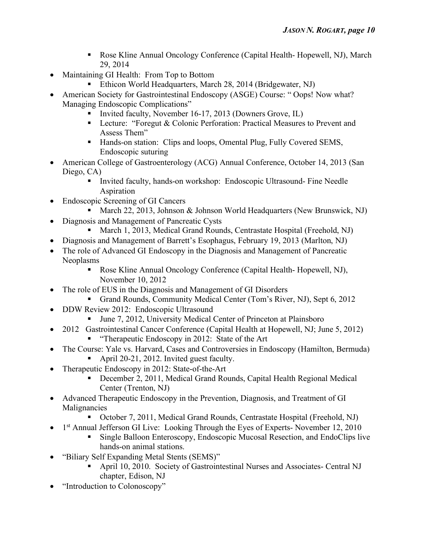- Rose Kline Annual Oncology Conference (Capital Health- Hopewell, NJ), March 29, 2014
- Maintaining GI Health: From Top to Bottom
	- Ethicon World Headquarters, March 28, 2014 (Bridgewater, NJ)
- American Society for Gastrointestinal Endoscopy (ASGE) Course: "Oops! Now what? Managing Endoscopic Complications"
	- Invited faculty, November 16-17, 2013 (Downers Grove, IL)
	- Lecture: "Foregut & Colonic Perforation: Practical Measures to Prevent and Assess Them"
	- Hands-on station: Clips and loops, Omental Plug, Fully Covered SEMS, Endoscopic suturing
- American College of Gastroenterology (ACG) Annual Conference, October 14, 2013 (San Diego, CA)
	- § Invited faculty, hands-on workshop: Endoscopic Ultrasound- Fine Needle Aspiration
- Endoscopic Screening of GI Cancers
	- March 22, 2013, Johnson & Johnson World Headquarters (New Brunswick, NJ)
- Diagnosis and Management of Pancreatic Cysts
	- March 1, 2013, Medical Grand Rounds, Centrastate Hospital (Freehold, NJ)
- Diagnosis and Management of Barrett's Esophagus, February 19, 2013 (Marlton, NJ)
- The role of Advanced GI Endoscopy in the Diagnosis and Management of Pancreatic Neoplasms
	- § Rose Kline Annual Oncology Conference (Capital Health- Hopewell, NJ), November 10, 2012
- The role of EUS in the Diagnosis and Management of GI Disorders
	- § Grand Rounds, Community Medical Center (Tom's River, NJ), Sept 6, 2012
- DDW Review 2012: Endoscopic Ultrasound
	- June 7, 2012, University Medical Center of Princeton at Plainsboro
- 2012 Gastrointestinal Cancer Conference (Capital Health at Hopewell, NJ; June 5, 2012)
	- "Therapeutic Endoscopy in 2012: State of the Art
- The Course: Yale vs. Harvard, Cases and Controversies in Endoscopy (Hamilton, Bermuda)
	- April 20-21, 2012. Invited guest faculty.
- Therapeutic Endoscopy in 2012: State-of-the-Art
	- § December 2, 2011, Medical Grand Rounds, Capital Health Regional Medical Center (Trenton, NJ)
- Advanced Therapeutic Endoscopy in the Prevention, Diagnosis, and Treatment of GI Malignancies
	- § October 7, 2011, Medical Grand Rounds, Centrastate Hospital (Freehold, NJ)
- <sup>1st</sup> Annual Jefferson GI Live: Looking Through the Eyes of Experts- November 12, 2010
	- § Single Balloon Enteroscopy, Endoscopic Mucosal Resection, and EndoClips live hands-on animal stations.
	- "Biliary Self Expanding Metal Stents (SEMS)"
		- § April 10, 2010. Society of Gastrointestinal Nurses and Associates- Central NJ chapter, Edison, NJ
- "Introduction to Colonoscopy"